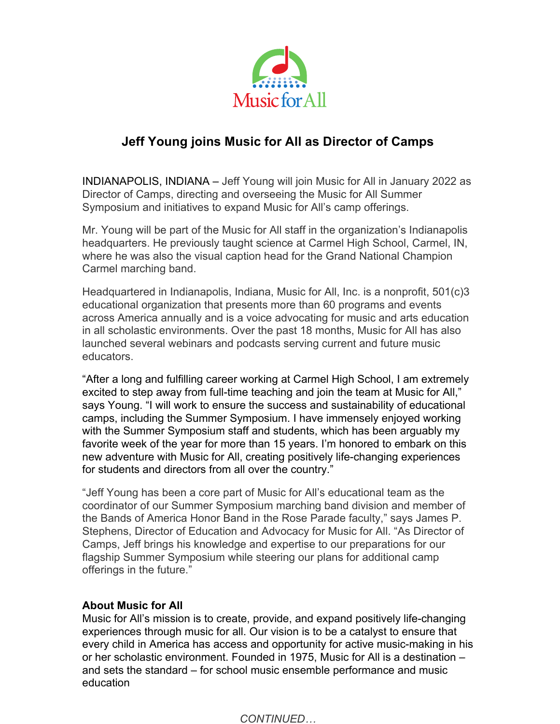

## **Jeff Young joins Music for All as Director of Camps**

INDIANAPOLIS, INDIANA – Jeff Young will join Music for All in January 2022 as Director of Camps, directing and overseeing the Music for All Summer Symposium and initiatives to expand Music for All's camp offerings.

Mr. Young will be part of the Music for All staff in the organization's Indianapolis headquarters. He previously taught science at Carmel High School, Carmel, IN, where he was also the visual caption head for the Grand National Champion Carmel marching band.

Headquartered in Indianapolis, Indiana, Music for All, Inc. is a nonprofit, 501(c)3 educational organization that presents more than 60 programs and events across America annually and is a voice advocating for music and arts education in all scholastic environments. Over the past 18 months, Music for All has also launched several webinars and podcasts serving current and future music educators.

"After a long and fulfilling career working at Carmel High School, I am extremely excited to step away from full-time teaching and join the team at Music for All," says Young. "I will work to ensure the success and sustainability of educational camps, including the Summer Symposium. I have immensely enjoyed working with the Summer Symposium staff and students, which has been arguably my favorite week of the year for more than 15 years. I'm honored to embark on this new adventure with Music for All, creating positively life-changing experiences for students and directors from all over the country."

"Jeff Young has been a core part of Music for All's educational team as the coordinator of our Summer Symposium marching band division and member of the Bands of America Honor Band in the Rose Parade faculty," says James P. Stephens, Director of Education and Advocacy for Music for All. "As Director of Camps, Jeff brings his knowledge and expertise to our preparations for our flagship Summer Symposium while steering our plans for additional camp offerings in the future."

## **About Music for All**

Music for All's mission is to create, provide, and expand positively life-changing experiences through music for all. Our vision is to be a catalyst to ensure that every child in America has access and opportunity for active music-making in his or her scholastic environment. Founded in 1975, Music for All is a destination – and sets the standard – for school music ensemble performance and music education

*CONTINUED…*